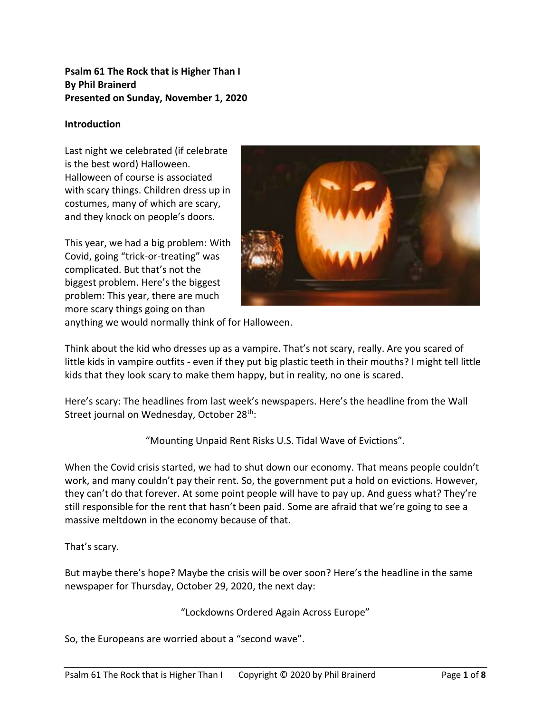#### **Psalm 61 The Rock that is Higher Than I By Phil Brainerd Presented on Sunday, November 1, 2020**

#### **Introduction**

Last night we celebrated (if celebrate is the best word) Halloween. Halloween of course is associated with scary things. Children dress up in costumes, many of which are scary, and they knock on people's doors.

This year, we had a big problem: With Covid, going "trick-or-treating" was complicated. But that's not the biggest problem. Here's the biggest problem: This year, there are much more scary things going on than



anything we would normally think of for Halloween.

Think about the kid who dresses up as a vampire. That's not scary, really. Are you scared of little kids in vampire outfits - even if they put big plastic teeth in their mouths? I might tell little kids that they look scary to make them happy, but in reality, no one is scared.

Here's scary: The headlines from last week's newspapers. Here's the headline from the Wall Street journal on Wednesday, October 28<sup>th</sup>:

"Mounting Unpaid Rent Risks U.S. Tidal Wave of Evictions".

When the Covid crisis started, we had to shut down our economy. That means people couldn't work, and many couldn't pay their rent. So, the government put a hold on evictions. However, they can't do that forever. At some point people will have to pay up. And guess what? They're still responsible for the rent that hasn't been paid. Some are afraid that we're going to see a massive meltdown in the economy because of that.

That's scary.

But maybe there's hope? Maybe the crisis will be over soon? Here's the headline in the same newspaper for Thursday, October 29, 2020, the next day:

"Lockdowns Ordered Again Across Europe"

So, the Europeans are worried about a "second wave".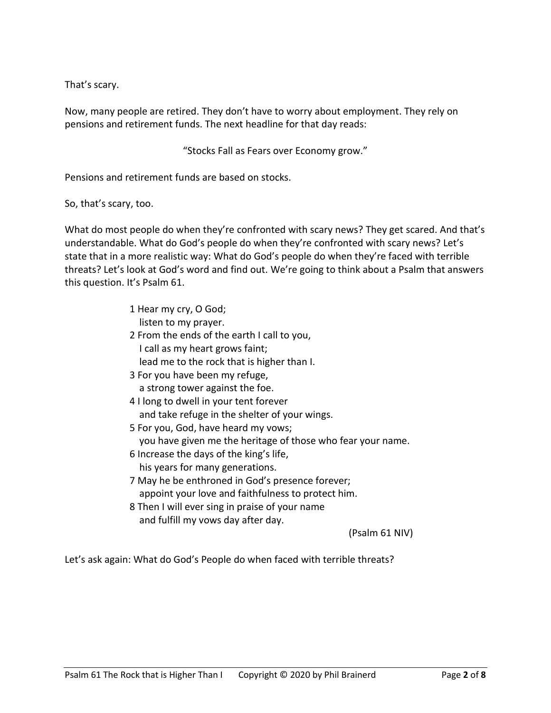That's scary.

Now, many people are retired. They don't have to worry about employment. They rely on pensions and retirement funds. The next headline for that day reads:

"Stocks Fall as Fears over Economy grow."

Pensions and retirement funds are based on stocks.

So, that's scary, too.

What do most people do when they're confronted with scary news? They get scared. And that's understandable. What do God's people do when they're confronted with scary news? Let's state that in a more realistic way: What do God's people do when they're faced with terrible threats? Let's look at God's word and find out. We're going to think about a Psalm that answers this question. It's Psalm 61.

- 1 Hear my cry, O God; listen to my prayer.
- 2 From the ends of the earth I call to you, I call as my heart grows faint; lead me to the rock that is higher than I.
- 3 For you have been my refuge, a strong tower against the foe.
- 4 I long to dwell in your tent forever and take refuge in the shelter of your wings.
- 5 For you, God, have heard my vows; you have given me the heritage of those who fear your name.
- 6 Increase the days of the king's life, his years for many generations.
- 7 May he be enthroned in God's presence forever; appoint your love and faithfulness to protect him.
- 8 Then I will ever sing in praise of your name and fulfill my vows day after day.

(Psalm 61 NIV)

Let's ask again: What do God's People do when faced with terrible threats?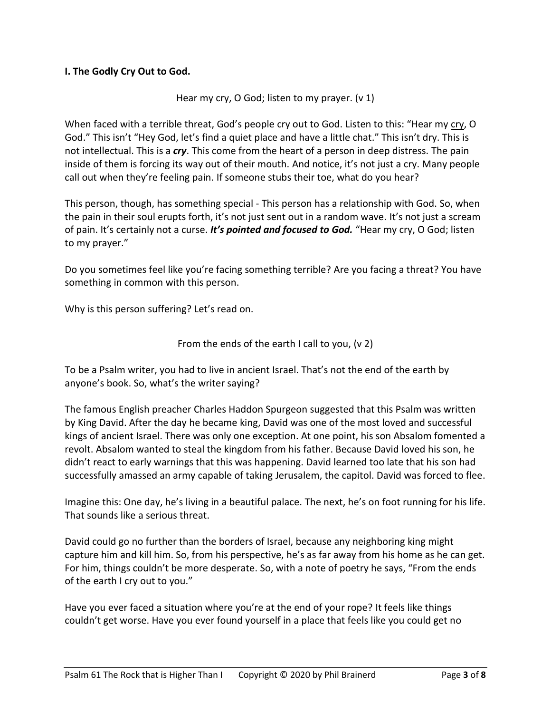#### **I. The Godly Cry Out to God.**

#### Hear my cry, O God; listen to my prayer. (v 1)

When faced with a terrible threat, God's people cry out to God. Listen to this: "Hear my cry, O God." This isn't "Hey God, let's find a quiet place and have a little chat." This isn't dry. This is not intellectual. This is a *cry*. This come from the heart of a person in deep distress. The pain inside of them is forcing its way out of their mouth. And notice, it's not just a cry. Many people call out when they're feeling pain. If someone stubs their toe, what do you hear?

This person, though, has something special - This person has a relationship with God. So, when the pain in their soul erupts forth, it's not just sent out in a random wave. It's not just a scream of pain. It's certainly not a curse. *It's pointed and focused to God.* "Hear my cry, O God; listen to my prayer."

Do you sometimes feel like you're facing something terrible? Are you facing a threat? You have something in common with this person.

Why is this person suffering? Let's read on.

From the ends of the earth I call to you, (v 2)

To be a Psalm writer, you had to live in ancient Israel. That's not the end of the earth by anyone's book. So, what's the writer saying?

The famous English preacher Charles Haddon Spurgeon suggested that this Psalm was written by King David. After the day he became king, David was one of the most loved and successful kings of ancient Israel. There was only one exception. At one point, his son Absalom fomented a revolt. Absalom wanted to steal the kingdom from his father. Because David loved his son, he didn't react to early warnings that this was happening. David learned too late that his son had successfully amassed an army capable of taking Jerusalem, the capitol. David was forced to flee.

Imagine this: One day, he's living in a beautiful palace. The next, he's on foot running for his life. That sounds like a serious threat.

David could go no further than the borders of Israel, because any neighboring king might capture him and kill him. So, from his perspective, he's as far away from his home as he can get. For him, things couldn't be more desperate. So, with a note of poetry he says, "From the ends of the earth I cry out to you."

Have you ever faced a situation where you're at the end of your rope? It feels like things couldn't get worse. Have you ever found yourself in a place that feels like you could get no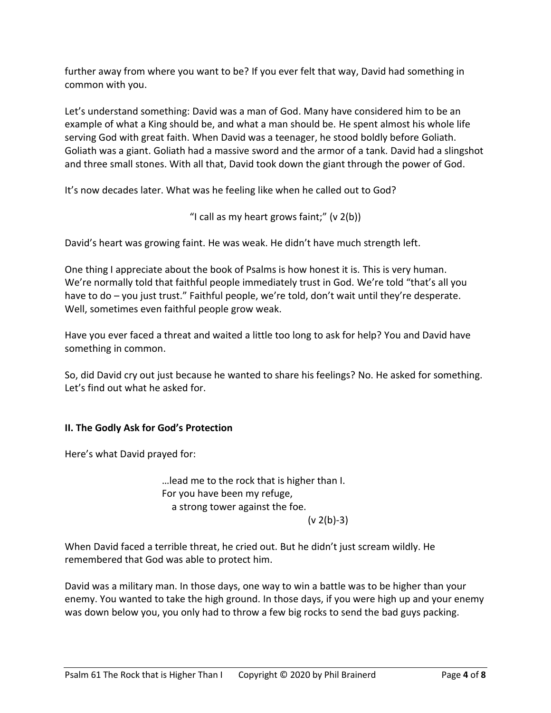further away from where you want to be? If you ever felt that way, David had something in common with you.

Let's understand something: David was a man of God. Many have considered him to be an example of what a King should be, and what a man should be. He spent almost his whole life serving God with great faith. When David was a teenager, he stood boldly before Goliath. Goliath was a giant. Goliath had a massive sword and the armor of a tank. David had a slingshot and three small stones. With all that, David took down the giant through the power of God.

It's now decades later. What was he feeling like when he called out to God?

"I call as my heart grows faint;"  $(v 2(b))$ 

David's heart was growing faint. He was weak. He didn't have much strength left.

One thing I appreciate about the book of Psalms is how honest it is. This is very human. We're normally told that faithful people immediately trust in God. We're told "that's all you have to do – you just trust." Faithful people, we're told, don't wait until they're desperate. Well, sometimes even faithful people grow weak.

Have you ever faced a threat and waited a little too long to ask for help? You and David have something in common.

So, did David cry out just because he wanted to share his feelings? No. He asked for something. Let's find out what he asked for.

### **II. The Godly Ask for God's Protection**

Here's what David prayed for:

…lead me to the rock that is higher than I. For you have been my refuge, a strong tower against the foe.

 $(v 2(b)-3)$ 

When David faced a terrible threat, he cried out. But he didn't just scream wildly. He remembered that God was able to protect him.

David was a military man. In those days, one way to win a battle was to be higher than your enemy. You wanted to take the high ground. In those days, if you were high up and your enemy was down below you, you only had to throw a few big rocks to send the bad guys packing.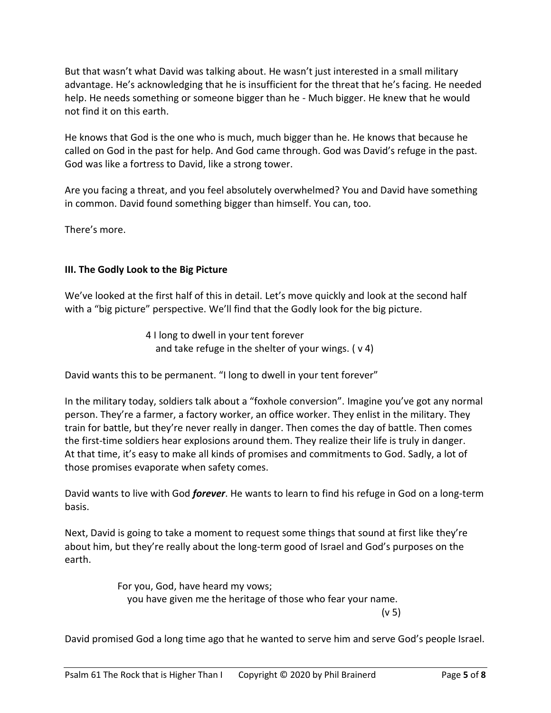But that wasn't what David was talking about. He wasn't just interested in a small military advantage. He's acknowledging that he is insufficient for the threat that he's facing. He needed help. He needs something or someone bigger than he - Much bigger. He knew that he would not find it on this earth.

He knows that God is the one who is much, much bigger than he. He knows that because he called on God in the past for help. And God came through. God was David's refuge in the past. God was like a fortress to David, like a strong tower.

Are you facing a threat, and you feel absolutely overwhelmed? You and David have something in common. David found something bigger than himself. You can, too.

There's more.

### **III. The Godly Look to the Big Picture**

We've looked at the first half of this in detail. Let's move quickly and look at the second half with a "big picture" perspective. We'll find that the Godly look for the big picture.

> 4 I long to dwell in your tent forever and take refuge in the shelter of your wings.  $(v 4)$

David wants this to be permanent. "I long to dwell in your tent forever"

In the military today, soldiers talk about a "foxhole conversion". Imagine you've got any normal person. They're a farmer, a factory worker, an office worker. They enlist in the military. They train for battle, but they're never really in danger. Then comes the day of battle. Then comes the first-time soldiers hear explosions around them. They realize their life is truly in danger. At that time, it's easy to make all kinds of promises and commitments to God. Sadly, a lot of those promises evaporate when safety comes.

David wants to live with God *forever*. He wants to learn to find his refuge in God on a long-term basis.

Next, David is going to take a moment to request some things that sound at first like they're about him, but they're really about the long-term good of Israel and God's purposes on the earth.

> For you, God, have heard my vows; you have given me the heritage of those who fear your name. (v 5)

David promised God a long time ago that he wanted to serve him and serve God's people Israel.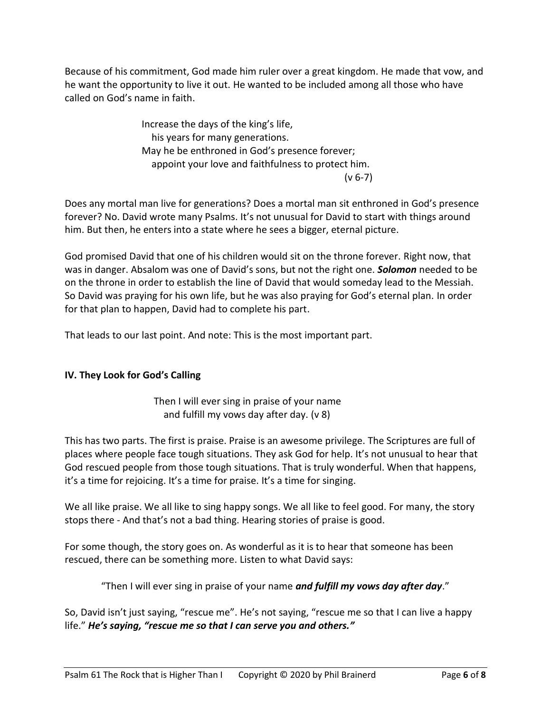Because of his commitment, God made him ruler over a great kingdom. He made that vow, and he want the opportunity to live it out. He wanted to be included among all those who have called on God's name in faith.

> Increase the days of the king's life, his years for many generations. May he be enthroned in God's presence forever; appoint your love and faithfulness to protect him. (v 6-7)

Does any mortal man live for generations? Does a mortal man sit enthroned in God's presence forever? No. David wrote many Psalms. It's not unusual for David to start with things around him. But then, he enters into a state where he sees a bigger, eternal picture.

God promised David that one of his children would sit on the throne forever. Right now, that was in danger. Absalom was one of David's sons, but not the right one. *Solomon* needed to be on the throne in order to establish the line of David that would someday lead to the Messiah. So David was praying for his own life, but he was also praying for God's eternal plan. In order for that plan to happen, David had to complete his part.

That leads to our last point. And note: This is the most important part.

# **IV. They Look for God's Calling**

Then I will ever sing in praise of your name and fulfill my vows day after day. (v 8)

This has two parts. The first is praise. Praise is an awesome privilege. The Scriptures are full of places where people face tough situations. They ask God for help. It's not unusual to hear that God rescued people from those tough situations. That is truly wonderful. When that happens, it's a time for rejoicing. It's a time for praise. It's a time for singing.

We all like praise. We all like to sing happy songs. We all like to feel good. For many, the story stops there - And that's not a bad thing. Hearing stories of praise is good.

For some though, the story goes on. As wonderful as it is to hear that someone has been rescued, there can be something more. Listen to what David says:

"Then I will ever sing in praise of your name *and fulfill my vows day after day*."

So, David isn't just saying, "rescue me". He's not saying, "rescue me so that I can live a happy life." *He's saying, "rescue me so that I can serve you and others."*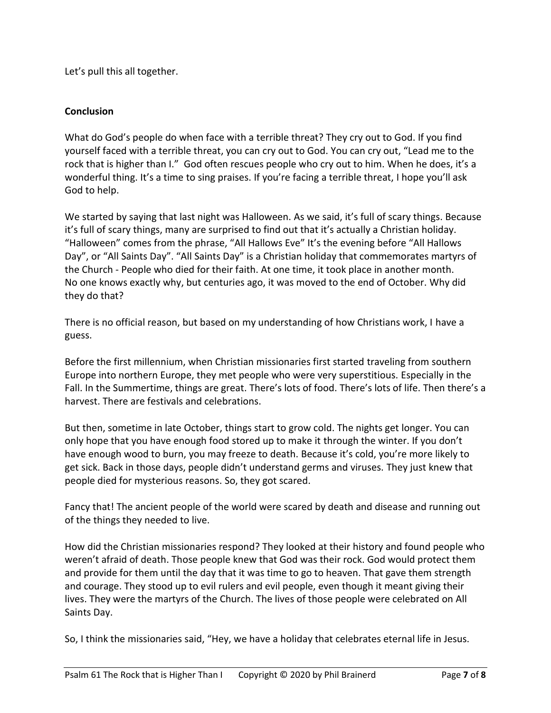Let's pull this all together.

## **Conclusion**

What do God's people do when face with a terrible threat? They cry out to God. If you find yourself faced with a terrible threat, you can cry out to God. You can cry out, "Lead me to the rock that is higher than I." God often rescues people who cry out to him. When he does, it's a wonderful thing. It's a time to sing praises. If you're facing a terrible threat, I hope you'll ask God to help.

We started by saying that last night was Halloween. As we said, it's full of scary things. Because it's full of scary things, many are surprised to find out that it's actually a Christian holiday. "Halloween" comes from the phrase, "All Hallows Eve" It's the evening before "All Hallows Day", or "All Saints Day". "All Saints Day" is a Christian holiday that commemorates martyrs of the Church - People who died for their faith. At one time, it took place in another month. No one knows exactly why, but centuries ago, it was moved to the end of October. Why did they do that?

There is no official reason, but based on my understanding of how Christians work, I have a guess.

Before the first millennium, when Christian missionaries first started traveling from southern Europe into northern Europe, they met people who were very superstitious. Especially in the Fall. In the Summertime, things are great. There's lots of food. There's lots of life. Then there's a harvest. There are festivals and celebrations.

But then, sometime in late October, things start to grow cold. The nights get longer. You can only hope that you have enough food stored up to make it through the winter. If you don't have enough wood to burn, you may freeze to death. Because it's cold, you're more likely to get sick. Back in those days, people didn't understand germs and viruses. They just knew that people died for mysterious reasons. So, they got scared.

Fancy that! The ancient people of the world were scared by death and disease and running out of the things they needed to live.

How did the Christian missionaries respond? They looked at their history and found people who weren't afraid of death. Those people knew that God was their rock. God would protect them and provide for them until the day that it was time to go to heaven. That gave them strength and courage. They stood up to evil rulers and evil people, even though it meant giving their lives. They were the martyrs of the Church. The lives of those people were celebrated on All Saints Day.

So, I think the missionaries said, "Hey, we have a holiday that celebrates eternal life in Jesus.